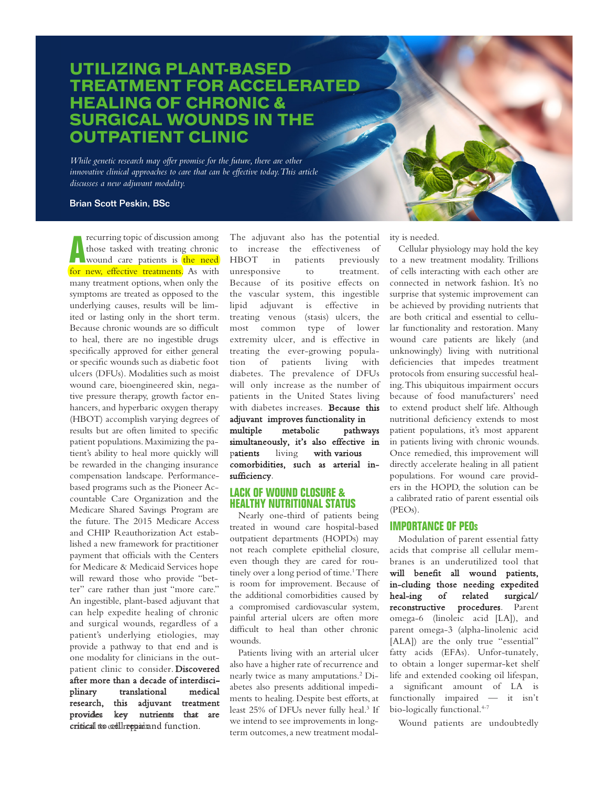## **UTILIZING PLANT-BASED TREATMENT FOR ACCELERATED HEALING OF CHRONIC & SURGICAL WOUNDS IN THE OUTPATIENT CLINIC**

*While genetic research may offer promise for the future, there are other innovative clinical approaches to care that can be effective today. This article discusses a new adjuvant modality.*

#### Brian Scott Peskin, BSc

**A** recurring topic of discussion among<br>those tasked with treating chronic<br>wound care patients is the need recurring topic of discussion among those tasked with treating chronic for new, effective treatments. As with many treatment options, when only the symptoms are treated as opposed to the underlying causes, results will be limited or lasting only in the short term. Because chronic wounds are so difficult to heal, there are no ingestible drugs specifically approved for either general or specific wounds such as diabetic foot ulcers (DFUs). Modalities such as moist wound care, bioengineered skin, negative pressure therapy, growth factor enhancers, and hyperbaric oxygen therapy (HBOT) accomplish varying degrees of results but are often limited to specific patient populations. Maximizing the patient's ability to heal more quickly will be rewarded in the changing insurance compensation landscape. Performancebased programs such as the Pioneer Accountable Care Organization and the Medicare Shared Savings Program are the future. The 2015 Medicare Access and CHIP Reauthorization Act established a new framework for practitioner payment that officials with the Centers for Medicare & Medicaid Services hope will reward those who provide "better" care rather than just "more care." An ingestible, plant-based adjuvant that can help expedite healing of chronic and surgical wounds, regardless of a patient's underlying etiologies, may provide a pathway to that end and is one modality for clinicians in the outpatient clinic to consider. Discovered after more than a decade of interdisciplinary translational medical research, this adjuvant treatment provides key nutrients that are critical to cell repair and function.

The adjuvant also has the potential to increase the effectiveness of HBOT in patients previously unresponsive to treatment. Because of its positive effects on the vascular system, this ingestible lipid adjuvant is effective in treating venous (stasis) ulcers, the most common type of lower extremity ulcer, and is effective in treating the ever-growing population of patients living with diabetes. The prevalence of DFUs will only increase as the number of patients in the United States living with diabetes increases. Because this adjuvant improves functionality in multiple metabolic pathways simultaneously, it's also effective in patients living with various comorbidities, such as arterial insufficiency.

#### **LACK OF WOUND CLOSURE & HEALTHY NUTRITIONAL STATUS**

Nearly one-third of patients being treated in wound care hospital-based outpatient departments (HOPDs) may not reach complete epithelial closure, even though they are cared for routinely over a long period of time.<sup>1</sup> There is room for improvement. Because of the additional comorbidities caused by a compromised cardiovascular system, painful arterial ulcers are often more difficult to heal than other chronic wounds.

Patients living with an arterial ulcer also have a higher rate of recurrence and nearly twice as many amputations.2 Diabetes also presents additional impediments to healing. Despite best efforts, at least 25% of DFUs never fully heal.<sup>3</sup> If we intend to see improvements in longterm outcomes, a new treatment modality is needed.

Cellular physiology may hold the key to a new treatment modality. Trillions of cells interacting with each other are connected in network fashion. It's no surprise that systemic improvement can be achieved by providing nutrients that are both critical and essential to cellular functionality and restoration. Many wound care patients are likely (and unknowingly) living with nutritional deficiencies that impedes treatment protocols from ensuring successful healing. This ubiquitous impairment occurs because of food manufacturers' need to extend product shelf life. Although nutritional deficiency extends to most patient populations, it's most apparent in patients living with chronic wounds. Once remedied, this improvement will directly accelerate healing in all patient populations. For wound care providers in the HOPD, the solution can be a calibrated ratio of parent essential oils (PEOs).

#### **IMPORTANCE OF PEO<sup>s</sup>**

Modulation of parent essential fatty acids that comprise all cellular membranes is an underutilized tool that will benefit all wound patients, in-cluding those needing expedited heal-ing of related surgical/ reconstructive procedures. Parent omega-6 (linoleic acid [LA]), and parent omega-3 (alpha-linolenic acid [ALA]) are the only true "essential" fatty acids (EFAs). Unfor-tunately, to obtain a longer supermar-ket shelf life and extended cooking oil lifespan, a significant amount of LA is functionally impaired — it isn't bio-logically functional.<sup>4-7</sup>

Wound patients are undoubtedly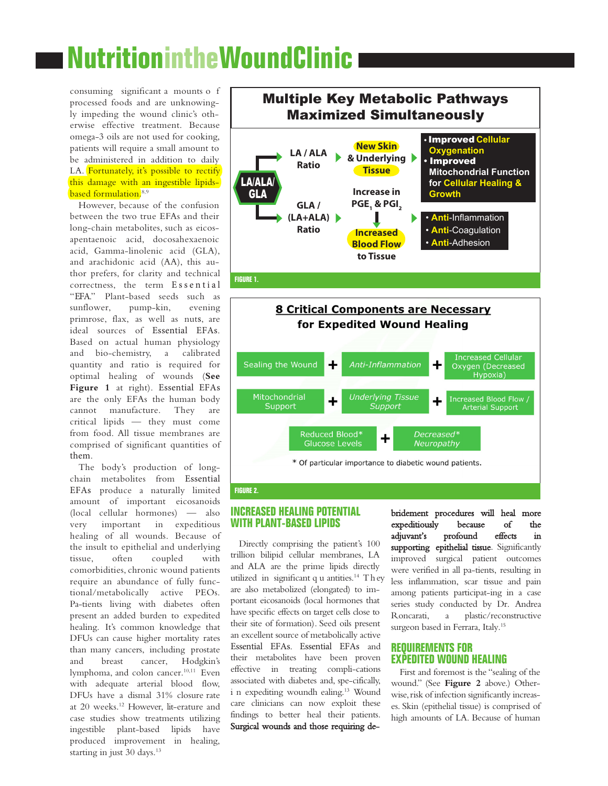# **NutritionintheWoundClinic**

consuming significant a mounts o f processed foods and are unknowingly impeding the wound clinic's otherwise effective treatment. Because omega-3 oils are not used for cooking, patients will require a small amount to be administered in addition to daily LA. Fortunately, it's possible to rectify this damage with an ingestible lipidsbased formulation.<sup>8,9</sup>

However, because of the confusion between the two true EFAs and their long-chain metabolites, such as eicosapentaenoic acid, docosahexaenoic acid, Gamma-linolenic acid (GLA), and arachidonic acid (AA), this author prefers, for clarity and technical correctness, the term Essential "EFA." Plant-based seeds such as sunflower, pump-kin, evening primrose, flax, as well as nuts, are ideal sources of Essential EFAs. Based on actual human physiology and bio-chemistry, a calibrated quantity and ratio is required for optimal healing of wounds (**See Figure 1** at right). Essential EFAs are the only EFAs the human body cannot manufacture. They are critical lipids — they must come from food. All tissue membranes are comprised of significant quantities of them.

The body's production of longchain metabolites from Essential EFAs produce a naturally limited amount of important eicosanoids (local cellular hormones) — also very important in expeditious healing of all wounds. Because of the insult to epithelial and underlying tissue, often coupled with comorbidities, chronic wound patients require an abundance of fully functional/metabolically active PEOs. Pa-tients living with diabetes often present an added burden to expedited healing. It's common knowledge that DFUs can cause higher mortality rates than many cancers, including prostate and breast cancer, Hodgkin's lymphoma, and colon cancer.<sup>10,11</sup> Even with adequate arterial blood flow, DFUs have a dismal 31% closure rate at 20 weeks.<sup>12</sup> However, lit-erature and case studies show treatments utilizing ingestible plant-based lipids have produced improvement in healing, starting in just 30 days.<sup>13</sup>





#### **FIGURE 2.**

#### **INCREASED HEALING POTENTIAL WITH PLANT-BASED LIPIDS**

Directly comprising the patient's 100 trillion bilipid cellular membranes, LA and ALA are the prime lipids directly utilized in significant q u antities.<sup>14</sup> They are also metabolized (elongated) to important eicosanoids (local hormones that have specific effects on target cells close to their site of formation). Seed oils present an excellent source of metabolically active Essential EFAs. Essential EFAs and their metabolites have been proven effective in treating compli-cations associated with diabetes and, spe-cifically, i n expediting woundh ealing.<sup>13</sup> Wound care clinicians can now exploit these findings to better heal their patients. Surgical wounds and those requiring debridement procedures will heal more expeditiously because of the adjuvant's profound effects in supporting epithelial tissue. Significantly improved surgical patient outcomes were verified in all pa-tients, resulting in less inflammation, scar tissue and pain among patients participat-ing in a case series study conducted by Dr. Andrea Roncarati, a plastic/reconstructive surgeon based in Ferrara, Italy.<sup>15</sup>

#### **REQUIREMENTS FOR EXPEDITED WOUND HEALING**

First and foremost is the "sealing of the wound." (See **Figure 2** above.) Otherwise, risk of infection significantly increases. Skin (epithelial tissue) is comprised of high amounts of LA. Because of human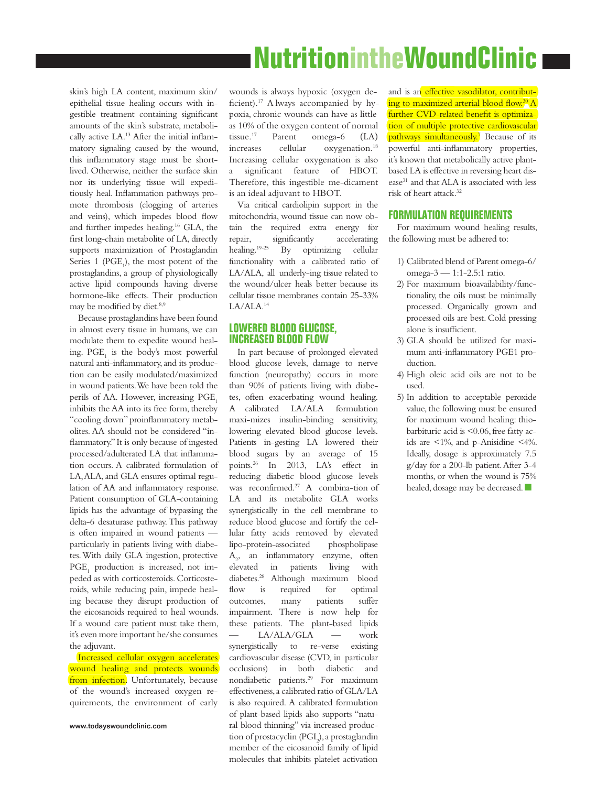## **NutritionintheWoundClinic**

skin's high LA content, maximum skin/ epithelial tissue healing occurs with ingestible treatment containing significant amounts of the skin's substrate, metabolically active LA.13 After the initial inflammatory signaling caused by the wound, this inflammatory stage must be shortlived. Otherwise, neither the surface skin nor its underlying tissue will expeditiously heal. Inflammation pathways promote thrombosis (clogging of arteries and veins), which impedes blood flow and further impedes healing.16 GLA, the first long-chain metabolite of LA, directly supports maximization of Prostaglandin Series 1 ( $PGE_1$ ), the most potent of the prostaglandins, a group of physiologically active lipid compounds having diverse hormone-like effects. Their production may be modified by diet.<sup>8,9</sup>

Because prostaglandins have been found in almost every tissue in humans, we can modulate them to expedite wound healing.  $\mathrm{PGE}_{1}$  is the body's most powerful natural anti-inflammatory, and its production can be easily modulated/maximized in wound patients. We have been told the perils of AA. However, increasing PGE<sub>1</sub> inhibits the AA into its free form, thereby "cooling down" proinflammatory metabolites. AA should not be considered "inflammatory." It is only because of ingested processed/adulterated LA that inflammation occurs. A calibrated formulation of LA, ALA, and GLA ensures optimal regulation of AA and inflammatory response. Patient consumption of GLA-containing lipids has the advantage of bypassing the delta-6 desaturase pathway. This pathway is often impaired in wound patients particularly in patients living with diabetes. With daily GLA ingestion, protective PGE<sub>1</sub> production is increased, not impeded as with corticosteroids. Corticosteroids, while reducing pain, impede healing because they disrupt production of the eicosanoids required to heal wounds. If a wound care patient must take them, it's even more important he/she consumes the adjuvant.

Increased cellular oxygen accelerates wound healing and protects wounds from infection. Unfortunately, because of the wound's increased oxygen requirements, the environment of early

wounds is always hypoxic (oxygen deficient).<sup>17</sup> A lways accompanied by hypoxia, chronic wounds can have as little as 10% of the oxygen content of normal tissue.<sup>17</sup> Parent omega-6 (LA) increases cellular oxygenation.<sup>18</sup> Increasing cellular oxygenation is also a significant feature of HBOT. Therefore, this ingestible me-dicament is an ideal adjuvant to HBOT.

Via critical cardiolipin support in the mitochondria, wound tissue can now obtain the required extra energy for repair, significantly accelerating<br>healing.<sup>19-25</sup> By optimizing cellular By optimizing cellular functionality with a calibrated ratio of LA/ALA, all underly-ing tissue related to the wound/ulcer heals better because its cellular tissue membranes contain 25-33% LA/ALA.<sup>14</sup>

#### **LOWERED BLOOD GLUCOSE, INCREASED BLOOD FLOW**

In part because of prolonged elevated blood glucose levels, damage to nerve function (neuropathy) occurs in more than 90% of patients living with diabetes, often exacerbating wound healing. A calibrated LA/ALA formulation maxi-mizes insulin-binding sensitivity, lowering elevated blood glucose levels. Patients in-gesting LA lowered their blood sugars by an average of 15 points.<sup>26</sup> In 2013, LA's effect in reducing diabetic blood glucose levels was reconfirmed.<sup>27</sup> A combina-tion of LA and its metabolite GLA works synergistically in the cell membrane to reduce blood glucose and fortify the cellular fatty acids removed by elevated lipo-protein-associated phospholipase A2 , an inflammatory enzyme, often elevated in patients living with diabetes.<sup>28</sup> Although maximum blood flow is required for optimal outcomes, many patients suffer impairment. There is now help for these patients. The plant-based lipids — LA/ALA/GLA — work synergistically to re-verse existing cardiovascular disease (CVD, in particular occlusions) in both diabetic and nondiabetic patients.<sup>29</sup> For maximum effectiveness, a calibrated ratio of GLA/LA is also required. A calibrated formulation of plant-based lipids also supports "natural blood thinning" via increased production of prostacyclin (PGI<sub>2</sub>), a prostaglandin member of the eicosanoid family of lipid molecules that inhibits platelet activation

and is an effective vasodilator, contributing to maximized arterial blood flow.<sup>30</sup> A further CVD-related benefit is optimization of multiple protective cardiovascular pathways simultaneously.<sup>7</sup> Because of its powerful anti-inflammatory properties, it's known that metabolically active plantbased LA is effective in reversing heart disease<sup>31</sup> and that ALA is associated with less risk of heart attack.32

#### **FORMULATION REQUIREMENTS**

For maximum wound healing results, the following must be adhered to:

- 1) Calibrated blend of Parent omega-6/ omega-3 — 1:1-2.5:1 ratio.
- 2) For maximum bioavailability/functionality, the oils must be minimally processed. Organically grown and processed oils are best. Cold pressing alone is insufficient.
- 3) GLA should be utilized for maximum anti-inflammatory PGE1 production.
- 4) High oleic acid oils are not to be used.
- 5) In addition to acceptable peroxide value, the following must be ensured for maximum wound healing: thiobarbituric acid is <0.06, free fatty acids are <1%, and p-Anisidine <4%. Ideally, dosage is approximately 7.5 g/day for a 200-lb patient. After 3-4 months, or when the wound is 75% healed, dosage may be decreased.